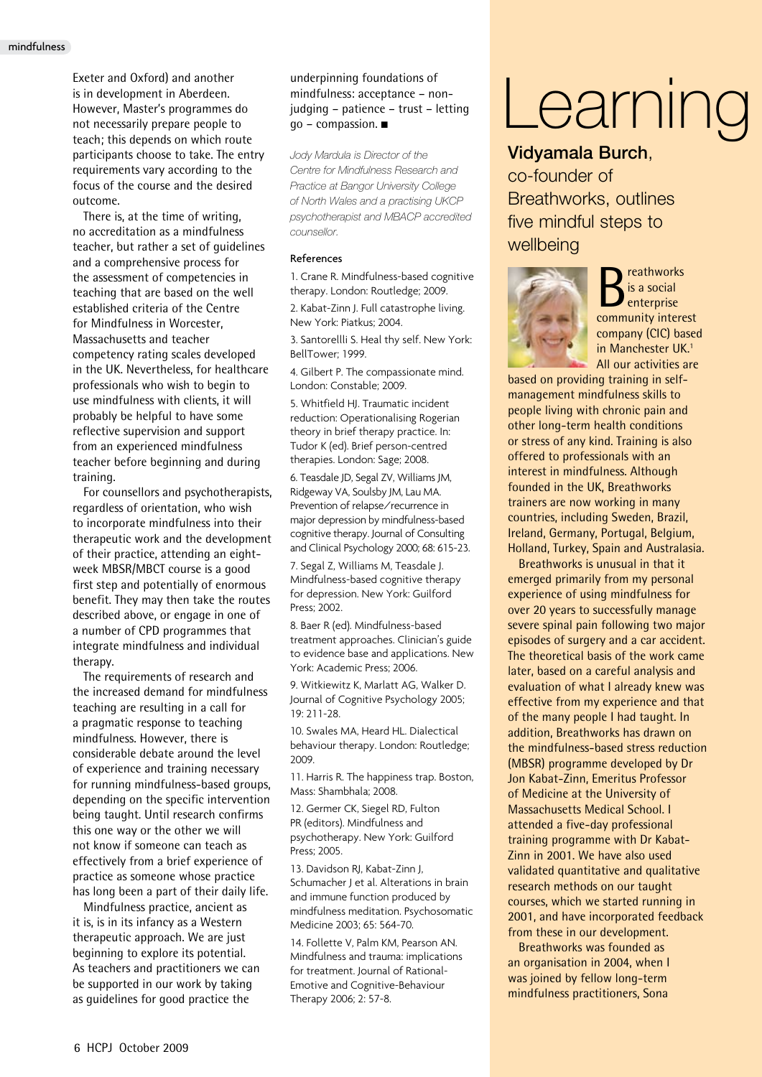Exeter and Oxford) and another is in development in Aberdeen. However, Master's programmes do not necessarily prepare people to teach; this depends on which route participants choose to take. The entry requirements vary according to the focus of the course and the desired outcome.

There is, at the time of writing, no accreditation as a mindfulness teacher, but rather a set of guidelines and a comprehensive process for the assessment of competencies in teaching that are based on the well established criteria of the Centre for Mindfulness in Worcester, Massachusetts and teacher competency rating scales developed in the UK. Nevertheless, for healthcare professionals who wish to begin to use mindfulness with clients, it will probably be helpful to have some reflective supervision and support from an experienced mindfulness teacher before beginning and during training.

For counsellors and psychotherapists, regardless of orientation, who wish to incorporate mindfulness into their therapeutic work and the development of their practice, attending an eightweek MBSR/MBCT course is a good first step and potentially of enormous benefit. They may then take the routes described above, or engage in one of a number of CPD programmes that integrate mindfulness and individual therapy.

The requirements of research and the increased demand for mindfulness teaching are resulting in a call for a pragmatic response to teaching mindfulness. However, there is considerable debate around the level of experience and training necessary for running mindfulness-based groups, depending on the specific intervention being taught. Until research confirms this one way or the other we will not know if someone can teach as effectively from a brief experience of practice as someone whose practice has long been a part of their daily life.

Mindfulness practice, ancient as it is, is in its infancy as a Western therapeutic approach. We are just beginning to explore its potential. As teachers and practitioners we can be supported in our work by taking as guidelines for good practice the

underpinning foundations of mindfulness: acceptance – nonjudging – patience – trust – letting  $qo$  – compassion.  $\blacksquare$ 

*Jody Mardula is Director of the Centre for Mindfulness Research and Practice at Bangor University College of North Wales and a practising UKCP psychotherapist and MBACP accredited counsellor.* 

### References

1. Crane R. Mindfulness-based cognitive therapy. London: Routledge; 2009.

2. Kabat-Zinn J. Full catastrophe living. New York: Piatkus; 2004.

3. Santorellli S. Heal thy self. New York: BellTower; 1999.

4. Gilbert P. The compassionate mind. London: Constable; 2009.

5. Whitfield HJ. Traumatic incident reduction: Operationalising Rogerian theory in brief therapy practice. In: Tudor K (ed). Brief person-centred therapies. London: Sage; 2008.

6. Teasdale JD, Segal ZV, Williams JM, Ridgeway VA, Soulsby JM, Lau MA. Prevention of relapse/recurrence in major depression by mindfulness-based cognitive therapy. Journal of Consulting and Clinical Psychology 2000; 68: 615-23.

7. Segal Z, Williams M, Teasdale J. Mindfulness-based cognitive therapy for depression. New York: Guilford Press; 2002.

8. Baer R (ed). Mindfulness-based treatment approaches. Clinician's guide to evidence base and applications. New York: Academic Press; 2006.

9. Witkiewitz K, Marlatt AG, Walker D. Journal of Cognitive Psychology 2005; 19: 211-28.

10. Swales MA, Heard HL. Dialectical behaviour therapy. London: Routledge; 2009.

11. Harris R. The happiness trap. Boston, Mass: Shambhala; 2008.

12. Germer CK, Siegel RD, Fulton PR (editors). Mindfulness and psychotherapy. New York: Guilford Press; 2005.

13. Davidson RJ, Kabat-Zinn J, Schumacher J et al. Alterations in brain and immune function produced by mindfulness meditation. Psychosomatic Medicine 2003; 65: 564-70.

14. Follette V, Palm KM, Pearson AN. Mindfulness and trauma: implications for treatment. Journal of Rational-Emotive and Cognitive-Behaviour Therapy 2006; 2: 57-8.

# Learning

# Vidyamala Burch,

co-founder of Breathworks, outlines five mindful steps to wellbeing



reathworks is a social enterprise community interest company (CIC) based in Manchester UK.1 All our activities are

based on providing training in selfmanagement mindfulness skills to people living with chronic pain and other long-term health conditions or stress of any kind. Training is also offered to professionals with an interest in mindfulness. Although founded in the UK, Breathworks trainers are now working in many countries, including Sweden, Brazil, Ireland, Germany, Portugal, Belgium, Holland, Turkey, Spain and Australasia.

Breathworks is unusual in that it emerged primarily from my personal experience of using mindfulness for over 20 years to successfully manage severe spinal pain following two major episodes of surgery and a car accident. The theoretical basis of the work came later, based on a careful analysis and evaluation of what I already knew was effective from my experience and that of the many people I had taught. In addition, Breathworks has drawn on the mindfulness-based stress reduction (MBSR) programme developed by Dr Jon Kabat-Zinn, Emeritus Professor of Medicine at the University of Massachusetts Medical School. I attended a five-day professional training programme with Dr Kabat-Zinn in 2001. We have also used validated quantitative and qualitative research methods on our taught courses, which we started running in 2001, and have incorporated feedback from these in our development.

Breathworks was founded as an organisation in 2004, when I was joined by fellow long-term mindfulness practitioners, Sona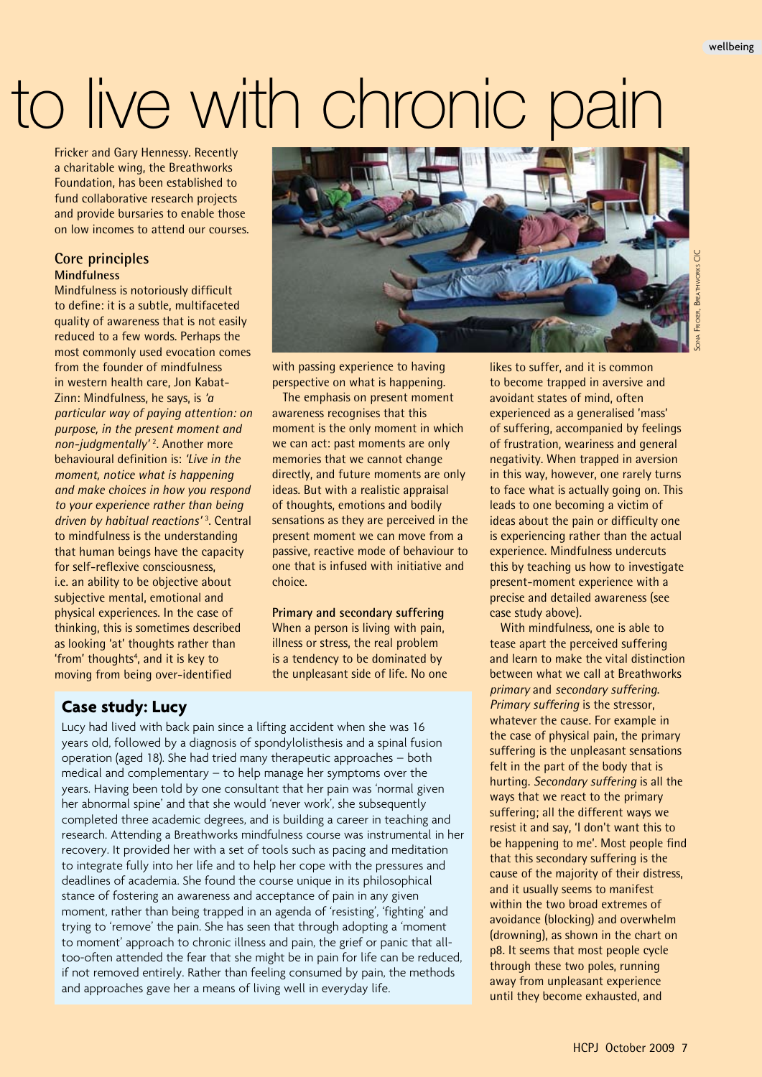# to live with chronic pain

Fricker and Gary Hennessy. Recently a charitable wing, the Breathworks Foundation, has been established to fund collaborative research projects and provide bursaries to enable those on low incomes to attend our courses.

# **Core principles Mindfulness**

Mindfulness is notoriously difficult to define: it is a subtle, multifaceted quality of awareness that is not easily reduced to a few words. Perhaps the most commonly used evocation comes from the founder of mindfulness in western health care, Jon Kabat-Zinn: Mindfulness, he says, is *'a particular way of paying attention: on purpose, in the present moment and non-judgmentally'* <sup>2</sup> . Another more behavioural definition is: *'Live in the moment, notice what is happening and make choices in how you respond to your experience rather than being driven by habitual reactions'* <sup>3</sup> . Central to mindfulness is the understanding that human beings have the capacity for self-reflexive consciousness, i.e. an ability to be objective about subjective mental, emotional and physical experiences. In the case of thinking, this is sometimes described as looking 'at' thoughts rather than 'from' thoughts<sup>4</sup>, and it is key to moving from being over-identified



Sona Fricker, Breathworks CICICKER, BREATHWORKS CIC

with passing experience to having perspective on what is happening.

The emphasis on present moment awareness recognises that this moment is the only moment in which we can act: past moments are only memories that we cannot change directly, and future moments are only ideas. But with a realistic appraisal of thoughts, emotions and bodily sensations as they are perceived in the present moment we can move from a passive, reactive mode of behaviour to one that is infused with initiative and choice.

# **Primary and secondary suffering**

When a person is living with pain, illness or stress, the real problem is a tendency to be dominated by the unpleasant side of life. No one

# **Case study: Lucy**

Lucy had lived with back pain since a lifting accident when she was 16 years old, followed by a diagnosis of spondylolisthesis and a spinal fusion operation (aged 18). She had tried many therapeutic approaches – both medical and complementary – to help manage her symptoms over the years. Having been told by one consultant that her pain was 'normal given her abnormal spine' and that she would 'never work', she subsequently completed three academic degrees, and is building a career in teaching and research. Attending a Breathworks mindfulness course was instrumental in her recovery. It provided her with a set of tools such as pacing and meditation to integrate fully into her life and to help her cope with the pressures and deadlines of academia. She found the course unique in its philosophical stance of fostering an awareness and acceptance of pain in any given moment, rather than being trapped in an agenda of 'resisting', 'fighting' and trying to 'remove' the pain. She has seen that through adopting a 'moment to moment' approach to chronic illness and pain, the grief or panic that alltoo-often attended the fear that she might be in pain for life can be reduced, if not removed entirely. Rather than feeling consumed by pain, the methods and approaches gave her a means of living well in everyday life.

likes to suffer, and it is common to become trapped in aversive and avoidant states of mind, often experienced as a generalised 'mass' of suffering, accompanied by feelings of frustration, weariness and general negativity. When trapped in aversion in this way, however, one rarely turns to face what is actually going on. This leads to one becoming a victim of ideas about the pain or difficulty one is experiencing rather than the actual experience. Mindfulness undercuts this by teaching us how to investigate present-moment experience with a precise and detailed awareness (see case study above).

With mindfulness, one is able to tease apart the perceived suffering and learn to make the vital distinction between what we call at Breathworks *primary* and *secondary suffering*. *Primary suffering* is the stressor, whatever the cause. For example in the case of physical pain, the primary suffering is the unpleasant sensations felt in the part of the body that is hurting. *Secondary suffering* is all the ways that we react to the primary suffering; all the different ways we resist it and say, 'I don't want this to be happening to me'. Most people find that this secondary suffering is the cause of the majority of their distress, and it usually seems to manifest within the two broad extremes of avoidance (blocking) and overwhelm (drowning), as shown in the chart on p8. It seems that most people cycle through these two poles, running away from unpleasant experience until they become exhausted, and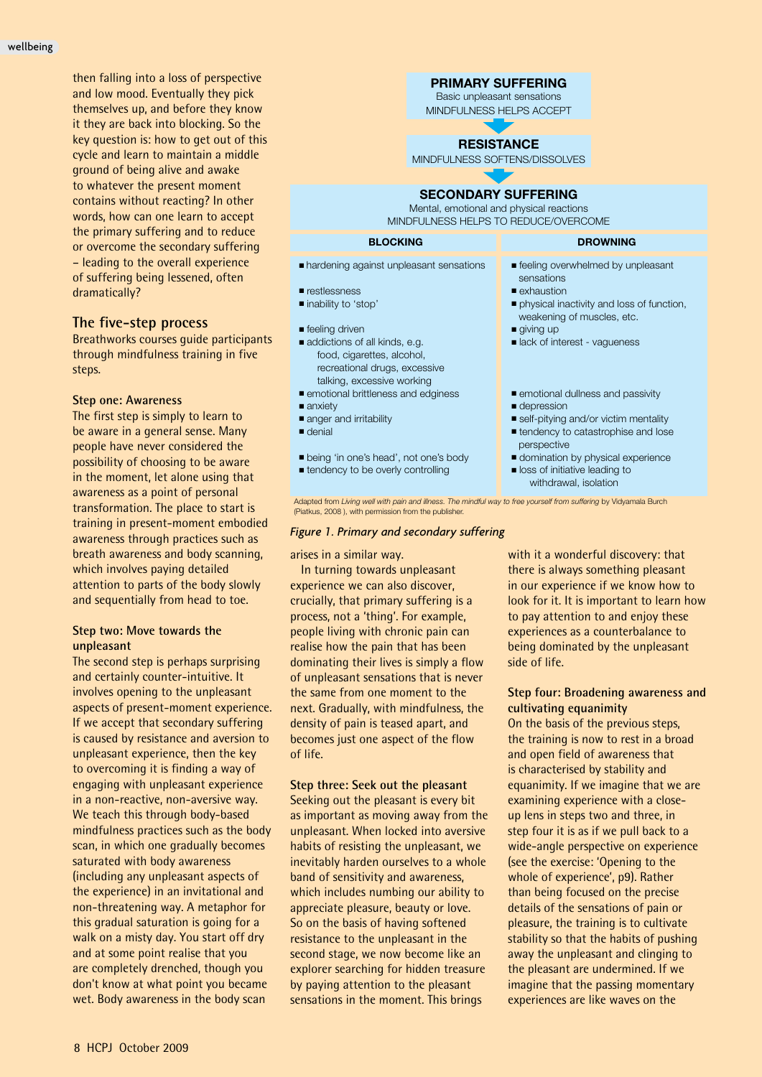then falling into a loss of perspective and low mood. Eventually they pick themselves up, and before they know it they are back into blocking. So the key question is: how to get out of this cycle and learn to maintain a middle ground of being alive and awake to whatever the present moment contains without reacting? In other words, how can one learn to accept the primary suffering and to reduce or overcome the secondary suffering – leading to the overall experience of suffering being lessened, often dramatically?

# **The five-step process**

Breathworks courses guide participants through mindfulness training in five steps.

# **Step one: Awareness**

The first step is simply to learn to be aware in a general sense. Many people have never considered the possibility of choosing to be aware in the moment, let alone using that awareness as a point of personal transformation. The place to start is training in present-moment embodied awareness through practices such as breath awareness and body scanning, which involves paying detailed attention to parts of the body slowly and sequentially from head to toe.

# **Step two: Move towards the unpleasant**

The second step is perhaps surprising and certainly counter-intuitive. It involves opening to the unpleasant aspects of present-moment experience. If we accept that secondary suffering is caused by resistance and aversion to unpleasant experience, then the key to overcoming it is finding a way of engaging with unpleasant experience in a non-reactive, non-aversive way. We teach this through body-based mindfulness practices such as the body scan, in which one gradually becomes saturated with body awareness (including any unpleasant aspects of the experience) in an invitational and non-threatening way. A metaphor for this gradual saturation is going for a walk on a misty day. You start off dry and at some point realise that you are completely drenched, though you don't know at what point you became wet. Body awareness in the body scan

# **PRIMARY SUFFERING**

Basic unpleasant sensations MINDFULNESS HELPS ACCEPT

# **RESISTANCE**

MINDFULNESS SOFTENS/DISSOLVES

# **SECONDARY SUFFERING**

Mental, emotional and physical reactions MINDFULNESS HELPS TO REDUCE/OVERCOME

#### **BLOCKING DROWNING**

- hardening against unpleasant sensations
- restlessness
- inability to 'stop'
- feeling driven
- addictions of all kinds, e.g. food, cigarettes, alcohol, recreational drugs, excessive talking, excessive working
- emotional brittleness and edginess
- anxiety
- anger and irritability ■ denial
- 
- being 'in one's head', not one's body
- tendency to be overly controlling

Adapted from *Living well with pain and illness. The mindful way to free yourself from suffering* by Vidyamala Burch (Piatkus, 2008 ), with permission from the publisher.

# *Figure 1. Primary and secondary suffering*

#### arises in a similar way.

In turning towards unpleasant experience we can also discover, crucially, that primary suffering is a process, not a 'thing'. For example, people living with chronic pain can realise how the pain that has been dominating their lives is simply a flow of unpleasant sensations that is never the same from one moment to the next. Gradually, with mindfulness, the density of pain is teased apart, and becomes just one aspect of the flow of life.

#### **Step three: Seek out the pleasant**

Seeking out the pleasant is every bit as important as moving away from the unpleasant. When locked into aversive habits of resisting the unpleasant, we inevitably harden ourselves to a whole band of sensitivity and awareness, which includes numbing our ability to appreciate pleasure, beauty or love. So on the basis of having softened resistance to the unpleasant in the second stage, we now become like an explorer searching for hidden treasure by paying attention to the pleasant sensations in the moment. This brings

with it a wonderful discovery: that there is always something pleasant in our experience if we know how to look for it. It is important to learn how to pay attention to and enjoy these experiences as a counterbalance to being dominated by the unpleasant side of life.

■ feeling overwhelmed by unpleasant

■ physical inactivity and loss of function, weakening of muscles, etc.

■ lack of interest - vagueness

■ emotional dullness and passivity

■ self-pitying and/or victim mentality ■ tendency to catastrophise and lose

■ domination by physical experience ■ loss of initiative leading to withdrawal, isolation

sensations ■ exhaustion

■ giving up

■ depression

perspective

# **Step four: Broadening awareness and cultivating equanimity**

On the basis of the previous steps, the training is now to rest in a broad and open field of awareness that is characterised by stability and equanimity. If we imagine that we are examining experience with a closeup lens in steps two and three, in step four it is as if we pull back to a wide-angle perspective on experience (see the exercise: 'Opening to the whole of experience', p9). Rather than being focused on the precise details of the sensations of pain or pleasure, the training is to cultivate stability so that the habits of pushing away the unpleasant and clinging to the pleasant are undermined. If we imagine that the passing momentary experiences are like waves on the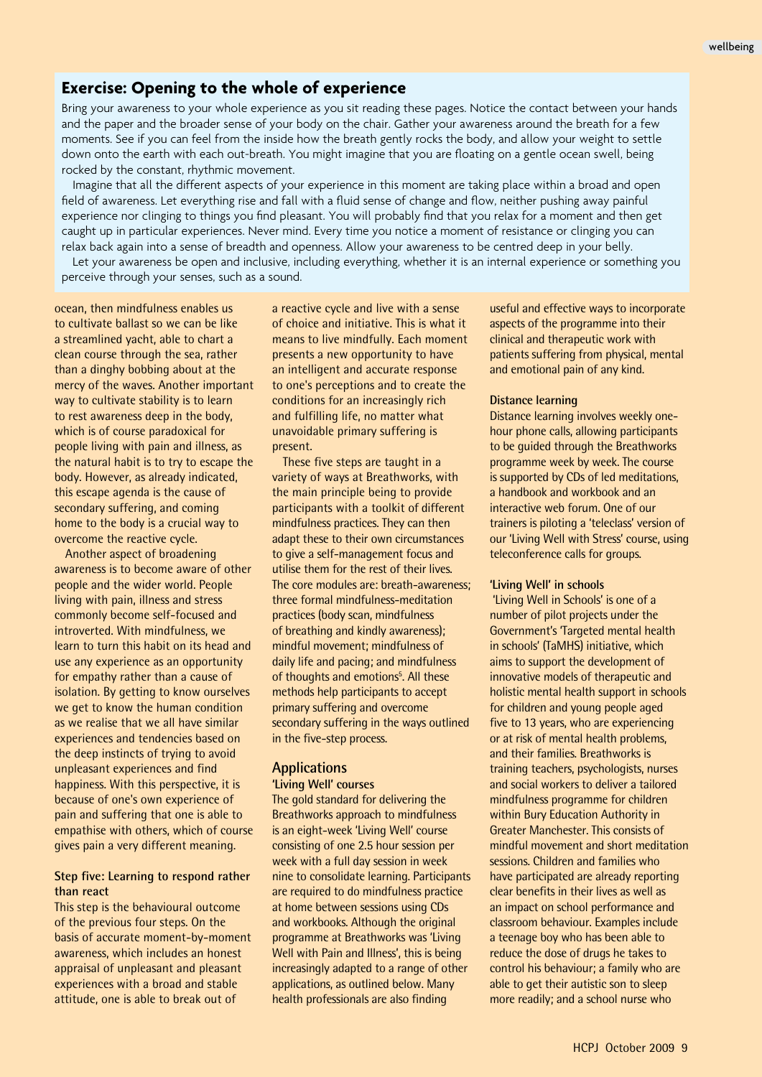# **Exercise: Opening to the whole of experience**

Bring your awareness to your whole experience as you sit reading these pages. Notice the contact between your hands and the paper and the broader sense of your body on the chair. Gather your awareness around the breath for a few moments. See if you can feel from the inside how the breath gently rocks the body, and allow your weight to settle down onto the earth with each out-breath. You might imagine that you are floating on a gentle ocean swell, being rocked by the constant, rhythmic movement.

Imagine that all the different aspects of your experience in this moment are taking place within a broad and open field of awareness. Let everything rise and fall with a fluid sense of change and flow, neither pushing away painful experience nor clinging to things you find pleasant. You will probably find that you relax for a moment and then get caught up in particular experiences. Never mind. Every time you notice a moment of resistance or clinging you can relax back again into a sense of breadth and openness. Allow your awareness to be centred deep in your belly.

Let your awareness be open and inclusive, including everything, whether it is an internal experience or something you perceive through your senses, such as a sound.

ocean, then mindfulness enables us to cultivate ballast so we can be like a streamlined yacht, able to chart a clean course through the sea, rather than a dinghy bobbing about at the mercy of the waves. Another important way to cultivate stability is to learn to rest awareness deep in the body, which is of course paradoxical for people living with pain and illness, as the natural habit is to try to escape the body. However, as already indicated, this escape agenda is the cause of secondary suffering, and coming home to the body is a crucial way to overcome the reactive cycle.

Another aspect of broadening awareness is to become aware of other people and the wider world. People living with pain, illness and stress commonly become self-focused and introverted. With mindfulness, we learn to turn this habit on its head and use any experience as an opportunity for empathy rather than a cause of isolation. By getting to know ourselves we get to know the human condition as we realise that we all have similar experiences and tendencies based on the deep instincts of trying to avoid unpleasant experiences and find happiness. With this perspective, it is because of one's own experience of pain and suffering that one is able to empathise with others, which of course gives pain a very different meaning.

# **Step five: Learning to respond rather than react**

This step is the behavioural outcome of the previous four steps. On the basis of accurate moment-by-moment awareness, which includes an honest appraisal of unpleasant and pleasant experiences with a broad and stable attitude, one is able to break out of

a reactive cycle and live with a sense of choice and initiative. This is what it means to live mindfully. Each moment presents a new opportunity to have an intelligent and accurate response to one's perceptions and to create the conditions for an increasingly rich and fulfilling life, no matter what unavoidable primary suffering is present.

These five steps are taught in a variety of ways at Breathworks, with the main principle being to provide participants with a toolkit of different mindfulness practices. They can then adapt these to their own circumstances to give a self-management focus and utilise them for the rest of their lives. The core modules are: breath-awareness; three formal mindfulness-meditation practices (body scan, mindfulness of breathing and kindly awareness); mindful movement; mindfulness of daily life and pacing; and mindfulness of thoughts and emotions<sup>5</sup>. All these methods help participants to accept primary suffering and overcome secondary suffering in the ways outlined in the five-step process.

# **Applications**

# **'Living Well' courses**

The gold standard for delivering the Breathworks approach to mindfulness is an eight-week 'Living Well' course consisting of one 2.5 hour session per week with a full day session in week nine to consolidate learning. Participants are required to do mindfulness practice at home between sessions using CDs and workbooks. Although the original programme at Breathworks was 'Living Well with Pain and Illness', this is being increasingly adapted to a range of other applications, as outlined below. Many health professionals are also finding

useful and effective ways to incorporate aspects of the programme into their clinical and therapeutic work with patients suffering from physical, mental and emotional pain of any kind.

# **Distance learning**

Distance learning involves weekly onehour phone calls, allowing participants to be guided through the Breathworks programme week by week. The course is supported by CDs of led meditations, a handbook and workbook and an interactive web forum. One of our trainers is piloting a 'teleclass' version of our 'Living Well with Stress' course, using teleconference calls for groups.

#### **'Living Well' in schools**

 'Living Well in Schools' is one of a number of pilot projects under the Government's 'Targeted mental health in schools' (TaMHS) initiative, which aims to support the development of innovative models of therapeutic and holistic mental health support in schools for children and young people aged five to 13 years, who are experiencing or at risk of mental health problems, and their families. Breathworks is training teachers, psychologists, nurses and social workers to deliver a tailored mindfulness programme for children within Bury Education Authority in Greater Manchester. This consists of mindful movement and short meditation sessions. Children and families who have participated are already reporting clear benefits in their lives as well as an impact on school performance and classroom behaviour. Examples include a teenage boy who has been able to reduce the dose of drugs he takes to control his behaviour; a family who are able to get their autistic son to sleep more readily; and a school nurse who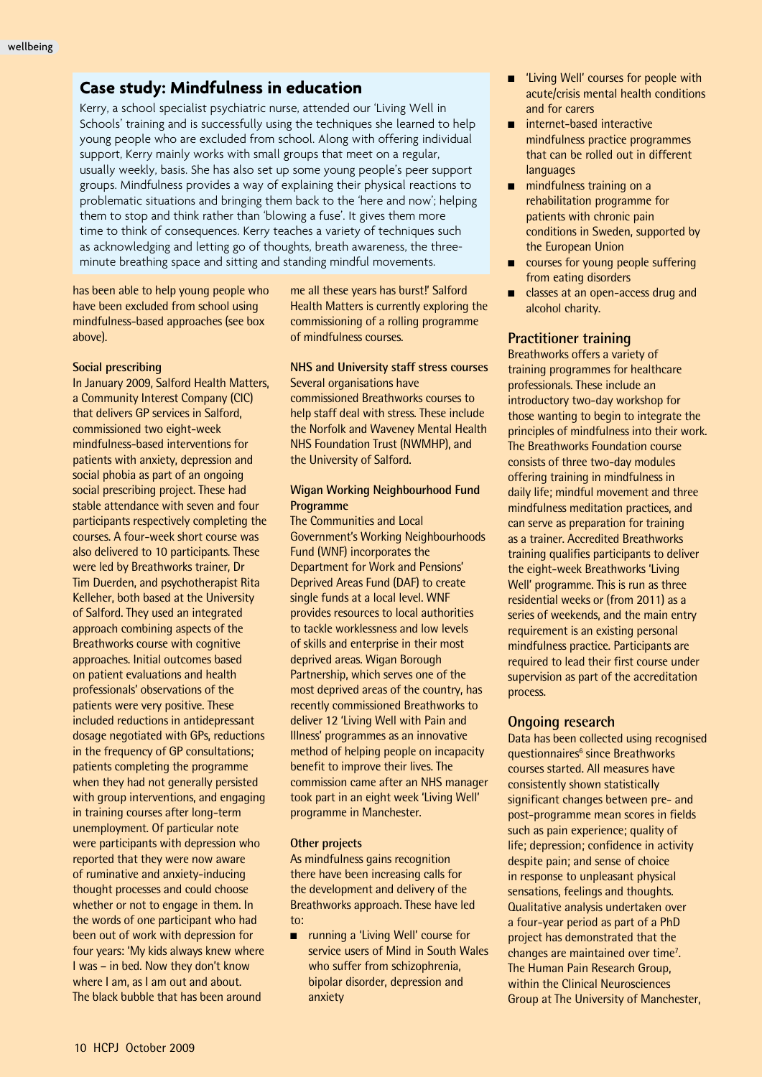# **Case study: Mindfulness in education**

Kerry, a school specialist psychiatric nurse, attended our 'Living Well in Schools' training and is successfully using the techniques she learned to help young people who are excluded from school. Along with offering individual support, Kerry mainly works with small groups that meet on a regular, usually weekly, basis. She has also set up some young people's peer support groups. Mindfulness provides a way of explaining their physical reactions to problematic situations and bringing them back to the 'here and now'; helping them to stop and think rather than 'blowing a fuse'. It gives them more time to think of consequences. Kerry teaches a variety of techniques such as acknowledging and letting go of thoughts, breath awareness, the threeminute breathing space and sitting and standing mindful movements.

has been able to help young people who have been excluded from school using mindfulness-based approaches (see box above).

### **Social prescribing**

In January 2009, Salford Health Matters, a Community Interest Company (CIC) that delivers GP services in Salford, commissioned two eight-week mindfulness-based interventions for patients with anxiety, depression and social phobia as part of an ongoing social prescribing project. These had stable attendance with seven and four participants respectively completing the courses. A four-week short course was also delivered to 10 participants. These were led by Breathworks trainer, Dr Tim Duerden, and psychotherapist Rita Kelleher, both based at the University of Salford. They used an integrated approach combining aspects of the Breathworks course with cognitive approaches. Initial outcomes based on patient evaluations and health professionals' observations of the patients were very positive. These included reductions in antidepressant dosage negotiated with GPs, reductions in the frequency of GP consultations; patients completing the programme when they had not generally persisted with group interventions, and engaging in training courses after long-term unemployment. Of particular note were participants with depression who reported that they were now aware of ruminative and anxiety-inducing thought processes and could choose whether or not to engage in them. In the words of one participant who had been out of work with depression for four years: 'My kids always knew where I was – in bed. Now they don't know where I am, as I am out and about. The black bubble that has been around

me all these years has burst!' Salford Health Matters is currently exploring the commissioning of a rolling programme of mindfulness courses.

# **NHS and University staff stress courses**

Several organisations have commissioned Breathworks courses to help staff deal with stress. These include the Norfolk and Waveney Mental Health NHS Foundation Trust (NWMHP), and the University of Salford.

# **Wigan Working Neighbourhood Fund Programme**

The Communities and Local Government's Working Neighbourhoods Fund (WNF) incorporates the Department for Work and Pensions' Deprived Areas Fund (DAF) to create single funds at a local level. WNF provides resources to local authorities to tackle worklessness and low levels of skills and enterprise in their most deprived areas. Wigan Borough Partnership, which serves one of the most deprived areas of the country, has recently commissioned Breathworks to deliver 12 'Living Well with Pain and Illness' programmes as an innovative method of helping people on incapacity benefit to improve their lives. The commission came after an NHS manager took part in an eight week 'Living Well' programme in Manchester.

# **Other projects**

As mindfulness gains recognition there have been increasing calls for the development and delivery of the Breathworks approach. These have led to:

■ running a 'Living Well' course for service users of Mind in South Wales who suffer from schizophrenia, bipolar disorder, depression and anxiety

- 'Living Well' courses for people with acute/crisis mental health conditions and for carers
- $\blacksquare$  internet-based interactive mindfulness practice programmes that can be rolled out in different languages
- $\blacksquare$  mindfulness training on a rehabilitation programme for patients with chronic pain conditions in Sweden, supported by the European Union
- $\Box$  courses for young people suffering from eating disorders
- classes at an open-access drug and alcohol charity.

# **Practitioner training**

Breathworks offers a variety of training programmes for healthcare professionals. These include an introductory two-day workshop for those wanting to begin to integrate the principles of mindfulness into their work. The Breathworks Foundation course consists of three two-day modules offering training in mindfulness in daily life; mindful movement and three mindfulness meditation practices, and can serve as preparation for training as a trainer. Accredited Breathworks training qualifies participants to deliver the eight-week Breathworks 'Living Well' programme. This is run as three residential weeks or (from 2011) as a series of weekends, and the main entry requirement is an existing personal mindfulness practice. Participants are required to lead their first course under supervision as part of the accreditation process.

# **Ongoing research**

Data has been collected using recognised questionnaires<sup>6</sup> since Breathworks courses started. All measures have consistently shown statistically significant changes between pre- and post-programme mean scores in fields such as pain experience; quality of life; depression; confidence in activity despite pain; and sense of choice in response to unpleasant physical sensations, feelings and thoughts. Qualitative analysis undertaken over a four-year period as part of a PhD project has demonstrated that the changes are maintained over time<sup>7</sup>. The Human Pain Research Group, within the Clinical Neurosciences Group at The University of Manchester,